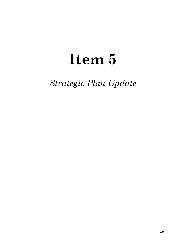# **Item 5**

*Strategic Plan Update*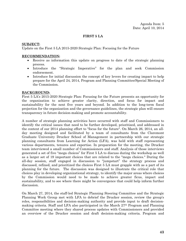#### **FIRST 5 LA**

#### **SUBJECT:**

Update on the First 5 LA 2015-2020 Strategic Plan: Focusing for the Future

#### **RECOMMENDATION:**

- Receive as information this update on progress to date of the strategic planning process.
- Introduce the "Strategic Imperative" for the plan and seek Commission endorsement.
- Introduce for initial discussion the concept of key levers for creating impact to help prepare for the April 24, 2014, Program and Planning Committee/Special Meeting of the Commission.

#### **BACKGROUND:**

First 5 LA's 2015-2020 Strategic Plan: Focusing for the Future presents an opportunity for the organization to achieve greater clarity, direction, and focus for impact and sustainability for the next five years and beyond. In addition to the long-term fiscal projection for the organization and the governance guidelines, the strategic plan will ensure transparency in future decision-making and promote accountability.

A number of strategic planning activities have occurred with staff and Commissioners to identify the critical issues that need to be further developed, prioritized, and addressed in the context of our 2014 planning effort to "focus for the future". On March 26, 2014, an allday meeting designed and facilitated by a team of consultants from the Claremont Graduate University Drucker School of Management in partnership with our strategic planning consultants from Learning for Action (LFA), was held with staff representing various departments, tenures and expertise. In preparation for the meeting, the Drucker team interviewed a small number of Commissioners and staff. Analysis of those interviews generated a set of five "mega choices" for First 5 LA to discuss during the workshop as well as a larger set of 19 important choices that are related to the "mega choices." During the all-day session, staff engaged in discussion to "jumpstart" the strategy process and discussed, refined, and prioritized the choices First 5 LA must grapple with as a part of its planning for the future. The discussion was designed to illustrate the critical role that choices play in developing organizational strategy, to identify the major areas where choices by the Commission would need to be made to achieve greater ficus, impact and sustainability, and to see where there might be convergence that could help inform further discussion.

On March 27, 2014, the staff-led Strategic Planning Steering Committee and the Strategic Planning Work Group met with LFA to debrief the Drucker session, review the group's roles, responsibilities and decision-making authority and provide input to draft decisionmaking criteria. Staff and LFA also participated in the March 27th Program and Planning Committee meeting where they shared process updates with Commissioners and provided an overview of the Drucker session and draft decision-making criteria. Program and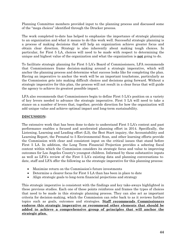Planning Committee members provided input to the planning process and discussed some of the "mega choices" identified through the Drucker process.

The work completed to-date has helped to emphasize the importance of strategic planning to an organization and what it means to do this work well. Successful strategic planning is a process of making decisions that will help an organization achieve greater focus and obtain clear direction. Strategy is also inherently about making tough choices. In particular, for First 5 LA, choices will need to be made with respect to determining the unique and highest value of the organization and what the organization is **not** going to do.

To facilitate strategic planning for First 5 LA's Board of Commissioners, LFA recommends that Commissioners frame decision-making around a strategic imperative, which will anchor the planning process and determine what success looks like for completing the plan. Having an imperative to anchor the work will be an important touchstone, particularly as the Commission gets into making difficult choices and decisions going forward. Without a strategic imperative for this plan, the process will not result in a clear focus that will guide the agency to achieve its greatest possible impact.

LFA also recommends that Commissioners begin to define First 5 LA's position on a variety of key levers needed to advance the strategic imperative. First 5 LA will need to take a stance on a number of levers that, together, provide direction for how the organization will add unique value and achieve optimal impact and long-term sustainability.

#### **DISCUSSION:**

The extensive work that has been done to-date to understand First 5 LA's context and past performance enables a focused and accelerated planning effort in 2014. Specifically, the Listening, Learning and Leading effort (L3), the Best Start inquiry, the Accountability and Learning Report, the Prenatal to 5 Environmental Scan, and other learning efforts provide the Commission with clear and consistent input on the critical issues that stand before First 5 LA. In addition, the Long Term Financial Projection provides a sobering fiscal context within which the Commission considers its strategic focus and value to improving outcomes for Los Angeles County's youngest children. Informed by these substantive inputs as well as LFA's review of the First 5 LA's existing data and planning conversations todate, staff and LFA offer the following as the strategic imperative for this planning process:

- Maximize return on the Commission's future investments
- Determine a clearer focus for First 5 LA than has been in place to date
- Align strategic goals to long-term financial projections and strategy

This strategic imperative is consistent with the findings and key take-aways highlighted in these previous studies. Each one of these points reinforces and frames the types of choices that need to be made in this strategic planning process. They can also act as important criteria for decision-making, which the Commission can refer back to as it reviews further topics such as goals, outcomes and strategies. **Staff recommends Commissioners endorse this strategic imperative or recommend other elements that should be added to achieve a comprehensive group of principles that will anchor the strategic plan.**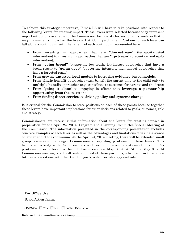To achieve this strategic imperative, First 5 LA will have to take positions with respect to the following levers for creating impact. These levers were selected because they represent important options available to the Commission for how it chooses to do its work so that it may maximize its impact on the lives of L.A. County's children. Positions for each lever can fall along a continuum, with the far end of each continuum represented here:

- From investing in approaches that are "**downstream**" (tertiary/targeted intervention) to investing in approaches that are "**upstream**" (prevention and early intervention);
- From **"going broad"** (supporting low-touch, low-impact approaches that have a broad reach) to **"going deep"** (supporting intensive, high-impact approaches that have a targeted reach);
- From growing **untested local models** to leveraging **evidence-based models**;
- From **single benefit** approaches (e.g., benefit the parent only or the child only) to **multiple benefit** approaches (e.g., contribute to outcomes for parents and children);
- From "**going it alone**" to engaging in efforts that **leverage a partnership opportunity from the start;** and
- From funding **direct services** to driving **policy and systems change**.

It is critical for the Commission to state positions on each of these points because together these levers have important implications for other decisions related to goals, outcomes, role and strategy.

Commissioners are receiving this information about the levers for creating impact in preparation for the April 24, 2014, Program and Planning Committee/Special Meeting of the Commission. The information presented in the corresponding presentation includes concrete examples of each lever as well as the advantages and limitations of taking a stance on either end of the continuum. At the April 24, 2014 meeting, there will be extended small group conversation amongst Commissioners regarding positions on these levers. This facilitated activity with Commissioners will result in recommendations of First 5 LA's positions on each lever to the full Commission on May 8, 2014. At the May 8, 2014 Commission meeting, staff will seek approval of these positions, which will in turn guide future conversations with the Board on goals, outcomes, strategy and role.

| <b>For Office Use</b>               |  |
|-------------------------------------|--|
| Board Action Taken:                 |  |
| Approved: Yes No Further Discussion |  |
| Referred to Committee/Work Group:   |  |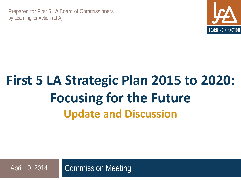Prepared for First 5 LA Board of Commissioners by Learning for Action (LFA)



# **First 5 LA Strategic Plan 2015 to 2020: Focusing for the Future Update and Discussion**

Commission Meeting April 10, 2014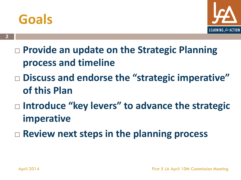# **Goals**

**2**



- **Provide an update on the Strategic Planning process and timeline**
- **Discuss and endorse the "strategic imperative" of this Plan**
- □ Introduce "key levers" to advance the strategic **imperative**
- **Review next steps in the planning process**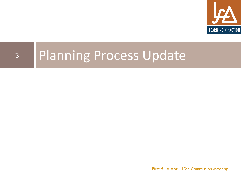

# <sup>3</sup> Planning Process Update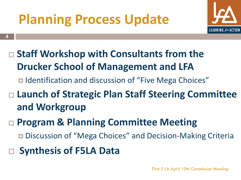# **Planning Process Update**



- **Staff Workshop with Consultants from the Drucker School of Management and LFA**
	- Identification and discussion of "Five Mega Choices"
- **Launch of Strategic Plan Staff Steering Committee and Workgroup**
- **Program & Planning Committee Meeting**
	- Discussion of "Mega Choices" and Decision-Making Criteria
- **Synthesis of F5LA Data**

**4**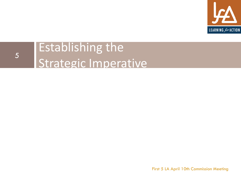

### Establishing the Strategic Imperative 5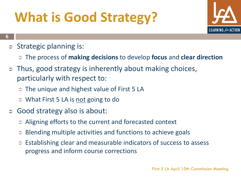# **What is Good Strategy?**



- **6**
	- $\Rightarrow$  Strategic planning is:
		- The process of **making decisions** to develop **focus** and **clear direction**
	- Thus, good strategy is inherently about making choices, particularly with respect to:
		- **■** The unique and highest value of First 5 LA
		- **What First 5 LA is <u>not</u> going to do**
	- Good strategy also is about:
		- **■** Aligning efforts to the current and forecasted context
		- Blending multiple activities and functions to achieve goals
		- Establishing clear and measurable indicators of success to assess progress and inform course corrections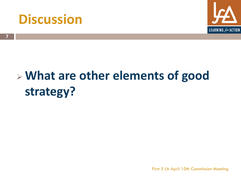



# **What are other elements of good strategy?**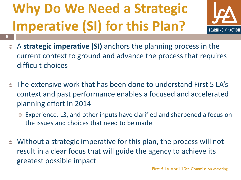# **Why Do We Need a Strategic Imperative (SI) for this Plan?**

**8**



- A **strategic imperative (SI)** anchors the planning process in the current context to ground and advance the process that requires difficult choices
- The extensive work that has been done to understand First 5 LA's context and past performance enables a focused and accelerated planning effort in 2014
	- Experience, L3, and other inputs have clarified and sharpened a focus on the issues and choices that need to be made
- Without a strategic imperative for this plan, the process will not result in a clear focus that will guide the agency to achieve its greatest possible impact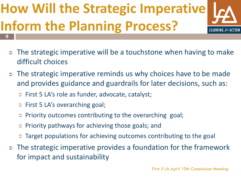# **How Will the Strategic Imperative Inform the Planning Process? 9**



- The strategic imperative will be a touchstone when having to make difficult choices
- The strategic imperative reminds us why choices have to be made and provides guidance and guardrails for later decisions, such as:
	- First 5 LA's role as funder, advocate, catalyst;
	- **⇒** First 5 LA's overarching goal;
	- Priority outcomes contributing to the overarching goal;
	- Priority pathways for achieving those goals; and
	- Target populations for achieving outcomes contributing to the goal
- The strategic imperative provides a foundation for the framework for impact and sustainability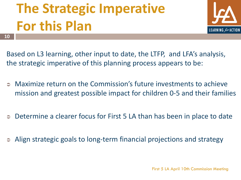# **The Strategic Imperative For this Plan**

**10**



Based on L3 learning, other input to date, the LTFP, and LFA's analysis, the strategic imperative of this planning process appears to be:

- Maximize return on the Commission's future investments to achieve mission and greatest possible impact for children 0-5 and their families
- Determine a clearer focus for First 5 LA than has been in place to date
- Align strategic goals to long-term financial projections and strategy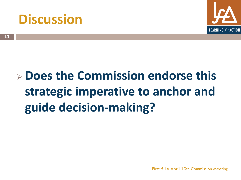# **Discussion**



# **Does the Commission endorse this strategic imperative to anchor and guide decision-making?**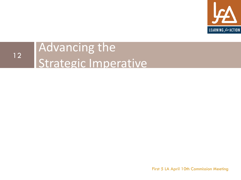

### Advancing the Strategic Imperative 12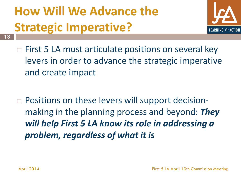# **How Will We Advance the Strategic Imperative?**



- $\Box$  First 5 LA must articulate positions on several key levers in order to advance the strategic imperative and create impact
- □ Positions on these levers will support decisionmaking in the planning process and beyond: *They will help First 5 LA know its role in addressing a problem, regardless of what it is*

**13**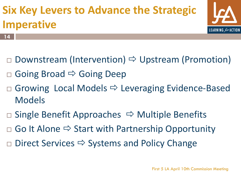# **Six Key Levers to Advance the Strategic Imperative**



- **14**
- $\Box$  Downstream (Intervention)  $\Rightarrow$  Upstream (Promotion)
- Going Broad  $\Rightarrow$  Going Deep
- $\Box$  Growing Local Models  $\Rightarrow$  Leveraging Evidence-Based Models
- $\Box$  Single Benefit Approaches  $\Rightarrow$  Multiple Benefits
- $\Box$  Go It Alone  $\Rightarrow$  Start with Partnership Opportunity
- $\Box$  Direct Services  $\Rightarrow$  Systems and Policy Change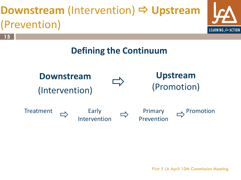# **Downstream (Intervention) ⇒ Upstream** (Prevention)





**Downstream**  (Intervention)

**15**





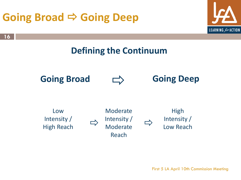# **Going Broad ⇒ Going Deep**

**16**





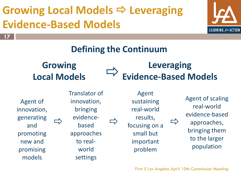

# **Defining the Continuum**

## **Growing Local Models**

## **Leveraging Evidence-Based Models**

Agent of innovation, generating and promoting new and promising models

**17**

 $\Rightarrow$  evidence-  $\Rightarrow$ Translator of innovation, bringing based approaches to realworld

settings

Agent sustaining real-world results, focusing on a small but important problem

Agent of scaling real-world evidence-based approaches, bringing them to the larger population

 $\implies$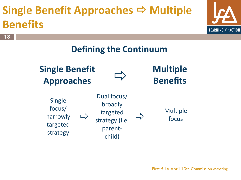# **Single Benefit Approaches ⇒ Multiple Benefits**

**18**



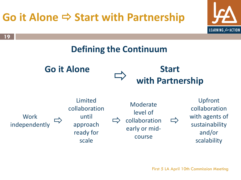# **Go it Alone ⇒ Start with Partnership**



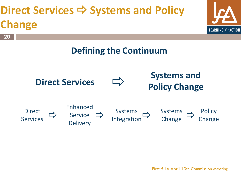# **Direct Services → Systems and Policy Change**



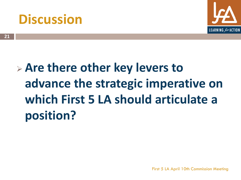# **Discussion**

![](_page_24_Picture_1.jpeg)

# **Are there other key levers to advance the strategic imperative on which First 5 LA should articulate a position?**

**21**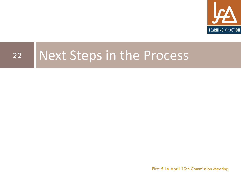![](_page_25_Picture_0.jpeg)

# 22 Next Steps in the Process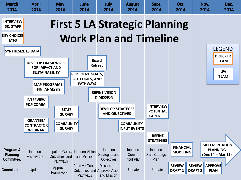![](_page_26_Figure_0.jpeg)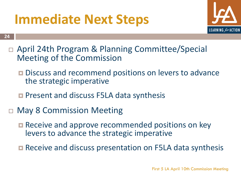# **Immediate Next Steps**

![](_page_27_Picture_1.jpeg)

 April 24th Program & Planning Committee/Special Meeting of the Commission

- **Discuss and recommend positions on levers to advance** the strategic imperative
- **Present and discuss F5LA data synthesis**
- May 8 Commission Meeting

**24**

- Receive and approve recommended positions on key levers to advance the strategic imperative
- Receive and discuss presentation on F5LA data synthesis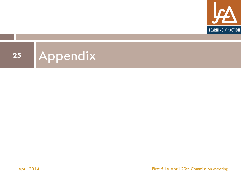![](_page_28_Picture_0.jpeg)

![](_page_28_Picture_1.jpeg)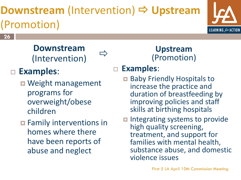# **Downstream** (Intervention)  $\Rightarrow$  **Upstream** (Promotion)

 $\Rightarrow$ 

![](_page_29_Picture_1.jpeg)

**26**

### **Downstream**  (Intervention)

# **Examples**:

- Weight management programs for overweight/obese children
- $\blacksquare$  Family interventions in homes where there have been reports of abuse and neglect

### **Upstream**  (Promotion)

### **Examples**:

- **□ Baby Friendly Hospitals to** increase the practice and duration of breastfeeding by improving policies and staff skills at birthing hospitals
- $\blacksquare$  Integrating systems to provide high quality screening, treatment, and support for families with mental health, substance abuse, and domestic violence issues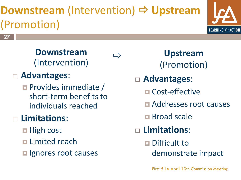# **Downstream** (Intervention)  $\Rightarrow$  **Upstream** (Promotion)

 $\Rightarrow$ 

![](_page_30_Picture_1.jpeg)

**27**

**Downstream**  (Intervention)

### **Advantages**:

**Provides immediate /** short-term benefits to individuals reached

## **Limitations**:

- $\Box$  High cost
- **Limited reach**
- **<u>Elgnores</u>** root causes

**Upstream**  (Promotion)

- **Advantages**:
	- **□ Cost-effective**
	- **E** Addresses root causes
	- **E** Broad scale
- **Limitations**:
	- Difficult to
		- demonstrate impact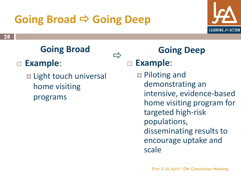# **Going Broad ⇒ Going Deep**

![](_page_31_Picture_1.jpeg)

# **Going Broad**

## **Example**:

**□ Light touch universal** home visiting programs

## **Going Deep**

**Example**:

 $\Box$ 

**Piloting and** demonstrating an intensive, evidence-based home visiting program for targeted high-risk populations, disseminating results to encourage uptake and scale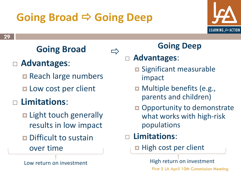# **Going Broad ⇒ Going Deep**

![](_page_32_Picture_1.jpeg)

# **Going Broad**

## **Advantages**:

- Reach large numbers
- **Low cost per client**
- **Limitations**:
	- E Light touch generally results in low impact
	- **D** Difficult to sustain over time

## **Going Deep**

### **Advantages**:

 $\Rightarrow$ 

- **<u>Exages Significant</u>** measurable impact
- **D** Multiple benefits (e.g., parents and children)
- **Opportunity to demonstrate** what works with high-risk populations

### **Limitations**:

**High cost per client** 

Low return on investment Low return on investment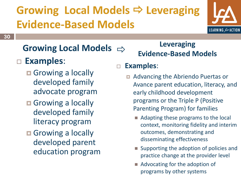![](_page_33_Picture_1.jpeg)

#### **Growing Local Models**  $\Rightarrow$

- **Examples**:
	- **Growing a locally** developed family advocate program
	- **Growing a locally** developed family literacy program
	- Growing a locally developed parent education program

**Leveraging Evidence-Based Models**

### **Examples**:

- Advancing the Abriendo Puertas or Avance parent education, literacy, and early childhood development programs or the Triple P (Positive Parenting Program) for families
	- Adapting these programs to the local context, monitoring fidelity and interim outcomes, demonstrating and disseminating effectiveness
	- Supporting the adoption of policies and practice change at the provider level
	- Advocating for the adoption of programs by other systems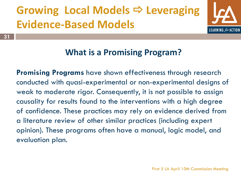**31**

![](_page_34_Picture_1.jpeg)

### **What is a Promising Program?**

**Promising Programs** have shown effectiveness through research conducted with quasi-experimental or non-experimental designs of weak to moderate rigor. Consequently, it is not possible to assign causality for results found to the interventions with a high degree of confidence. These practices may rely on evidence derived from a literature review of other similar practices (including expert opinion). These programs often have a manual, logic model, and evaluation plan.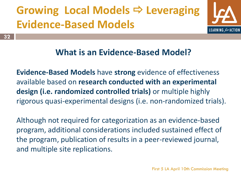![](_page_35_Picture_1.jpeg)

### **What is an Evidence-Based Model?**

**Evidence-Based Models** have **strong** evidence of effectiveness available based on **research conducted with an experimental design (i.e. randomized controlled trials)** or multiple highly rigorous quasi-experimental designs (i.e. non-randomized trials).

Although not required for categorization as an evidence-based program, additional considerations included sustained effect of the program, publication of results in a peer-reviewed journal, and multiple site replications.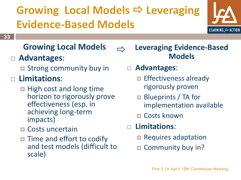$\Rightarrow$ 

![](_page_36_Picture_1.jpeg)

## **33**

### **Growing Local Models**

### **Advantages**:

- **Extracks** community buy in
- **Limitations**:
	- $\blacksquare$  High cost and long time horizon to rigorously prove effectiveness (esp. in achieving long-term impacts)
	- **<u>n</u>** Costs uncertain
	- **The and effort to codify** and test models (difficult to scale)

**Leveraging Evidence-Based Models**

- **Advantages**:
	- $\blacksquare$  Effectiveness already rigorously proven
	- **□** Blueprints / TA for implementation available
	- **□ Costs known**
- **Limitations**:
	- Requires adaptation
	- Community buy in?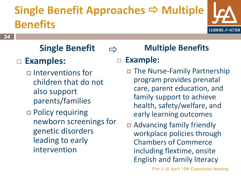# **Single Benefit Approaches → Multiple Benefits**

 $\Rightarrow$ 

![](_page_37_Picture_1.jpeg)

#### **34**

# **Single Benefit**

### **Examples:**

- $\blacksquare$  Interventions for children that do not also support parents/families
- **Policy requiring** newborn screenings for genetic disorders leading to early intervention

## **Multiple Benefits**

### **Example:**

- **The Nurse-Family Partnership** program provides prenatal care, parent education, and family support to achieve health, safety/welfare, and early learning outcomes
- Advancing family friendly workplace policies through Chambers of Commerce including flextime, onsite English and family literacy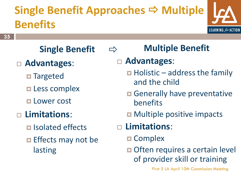# **Single Benefit Approaches → Multiple Benefits**

 $\Rightarrow$ 

![](_page_38_Picture_1.jpeg)

**35**

# **Single Benefit**

- **Advantages**:
	- **□ Targeted**
	- **Less complex**
	- **Lower cost**

### **Limitations**:

- $\blacksquare$  Isolated effects
- $\blacksquare$  Effects may not be lasting

# **Multiple Benefit**

## **Advantages**:

- $\blacksquare$  Holistic address the family and the child
- **□ Generally have preventative** benefits
- **D** Multiple positive impacts
- **Limitations**:
	- **□ Complex**
	- **□** Often requires a certain level of provider skill or training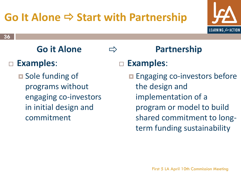# **Go It Alone ⇒ Start with Partnership**

 $\Rightarrow$ 

![](_page_39_Picture_1.jpeg)

#### **36**

# **Go it Alone**

### **Examples**:

**□** Sole funding of programs without engaging co-investors in initial design and commitment

## **Partnership**

### **Examples**:

**Engaging co-investors before** the design and implementation of a program or model to build shared commitment to longterm funding sustainability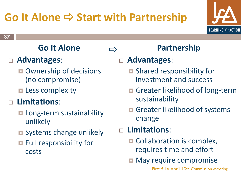# **Go It Alone ⇒ Start with Partnership**

 $\Rightarrow$ 

![](_page_40_Picture_1.jpeg)

#### **37**

## **Go it Alone**

## **Advantages**:

- Ownership of decisions (no compromise)
- $\blacksquare$  Less complexity

## **Limitations**:

- $\blacksquare$  Long-term sustainability unlikely
- **O** Systems change unlikely
- $\blacksquare$  Full responsibility for costs

## **Partnership**

### **Advantages**:

- **□** Shared responsibility for investment and success
- **□** Greater likelihood of long-term sustainability
- Greater likelihood of systems change

### **Limitations**:

- **□** Collaboration is complex, requires time and effort
- $\blacksquare$  May require compromise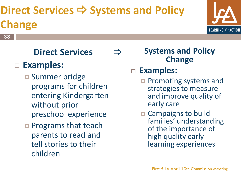# **Direct Services → Systems and Policy Change**

 $\Rightarrow$ 

![](_page_41_Picture_1.jpeg)

## **Direct Services**

### **Examples:**

**38**

- **□ Summer bridge** programs for children entering Kindergarten without prior preschool experience
- **Programs that teach** parents to read and tell stories to their children

**Systems and Policy Change**

### **Examples:**

- **Q** Promoting systems and strategies to measure and improve quality of early care
- **□ Campaigns to build** families' understanding of the importance of high quality early learning experiences